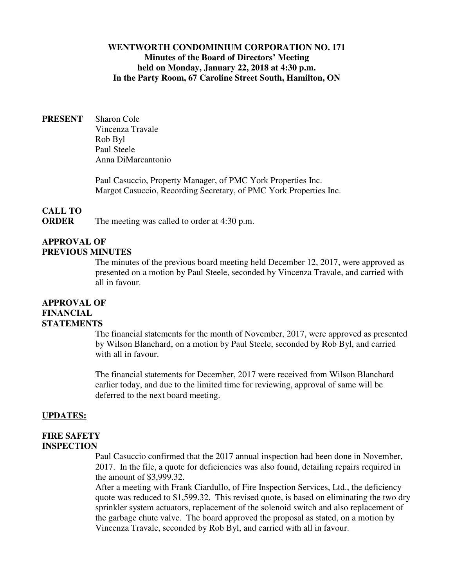## **WENTWORTH CONDOMINIUM CORPORATION NO. 171 Minutes of the Board of Directors' Meeting held on Monday, January 22, 2018 at 4:30 p.m. In the Party Room, 67 Caroline Street South, Hamilton, ON**

**PRESENT** Sharon Cole Vincenza Travale Rob Byl Paul Steele Anna DiMarcantonio

> Paul Casuccio, Property Manager, of PMC York Properties Inc. Margot Casuccio, Recording Secretary, of PMC York Properties Inc.

## **CALL TO**

**ORDER** The meeting was called to order at 4:30 p.m.

## **APPROVAL OF PREVIOUS MINUTES**

The minutes of the previous board meeting held December 12, 2017, were approved as presented on a motion by Paul Steele, seconded by Vincenza Travale, and carried with all in favour.

## **APPROVAL OF FINANCIAL STATEMENTS**

The financial statements for the month of November, 2017, were approved as presented by Wilson Blanchard, on a motion by Paul Steele, seconded by Rob Byl, and carried with all in favour.

The financial statements for December, 2017 were received from Wilson Blanchard earlier today, and due to the limited time for reviewing, approval of same will be deferred to the next board meeting.

## **UPDATES:**

#### **FIRE SAFETY INSPECTION**

Paul Casuccio confirmed that the 2017 annual inspection had been done in November, 2017. In the file, a quote for deficiencies was also found, detailing repairs required in the amount of \$3,999.32.

After a meeting with Frank Ciardullo, of Fire Inspection Services, Ltd., the deficiency quote was reduced to \$1,599.32. This revised quote, is based on eliminating the two dry sprinkler system actuators, replacement of the solenoid switch and also replacement of the garbage chute valve. The board approved the proposal as stated, on a motion by Vincenza Travale, seconded by Rob Byl, and carried with all in favour.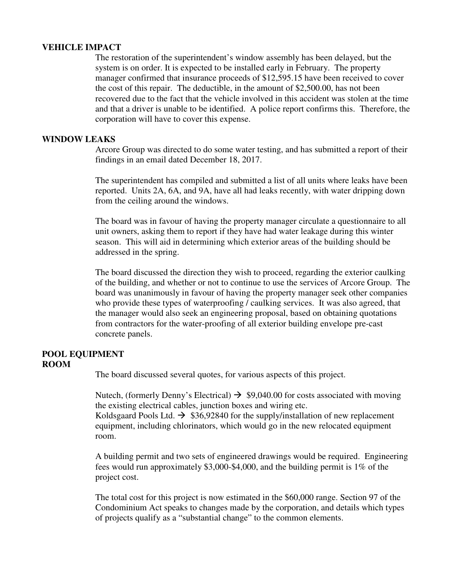#### **VEHICLE IMPACT**

The restoration of the superintendent's window assembly has been delayed, but the system is on order. It is expected to be installed early in February. The property manager confirmed that insurance proceeds of \$12,595.15 have been received to cover the cost of this repair. The deductible, in the amount of \$2,500.00, has not been recovered due to the fact that the vehicle involved in this accident was stolen at the time and that a driver is unable to be identified. A police report confirms this. Therefore, the corporation will have to cover this expense.

#### **WINDOW LEAKS**

Arcore Group was directed to do some water testing, and has submitted a report of their findings in an email dated December 18, 2017.

The superintendent has compiled and submitted a list of all units where leaks have been reported. Units 2A, 6A, and 9A, have all had leaks recently, with water dripping down from the ceiling around the windows.

The board was in favour of having the property manager circulate a questionnaire to all unit owners, asking them to report if they have had water leakage during this winter season. This will aid in determining which exterior areas of the building should be addressed in the spring.

The board discussed the direction they wish to proceed, regarding the exterior caulking of the building, and whether or not to continue to use the services of Arcore Group. The board was unanimously in favour of having the property manager seek other companies who provide these types of waterproofing / caulking services. It was also agreed, that the manager would also seek an engineering proposal, based on obtaining quotations from contractors for the water-proofing of all exterior building envelope pre-cast concrete panels.

#### **POOL EQUIPMENT ROOM**

The board discussed several quotes, for various aspects of this project.

Nutech, (formerly Denny's Electrical)  $\rightarrow$  \$9,040.00 for costs associated with moving the existing electrical cables, junction boxes and wiring etc.

Koldsgaard Pools Ltd.  $\rightarrow$  \$36,92840 for the supply/installation of new replacement equipment, including chlorinators, which would go in the new relocated equipment room.

A building permit and two sets of engineered drawings would be required. Engineering fees would run approximately \$3,000-\$4,000, and the building permit is 1% of the project cost.

The total cost for this project is now estimated in the \$60,000 range. Section 97 of the Condominium Act speaks to changes made by the corporation, and details which types of projects qualify as a "substantial change" to the common elements.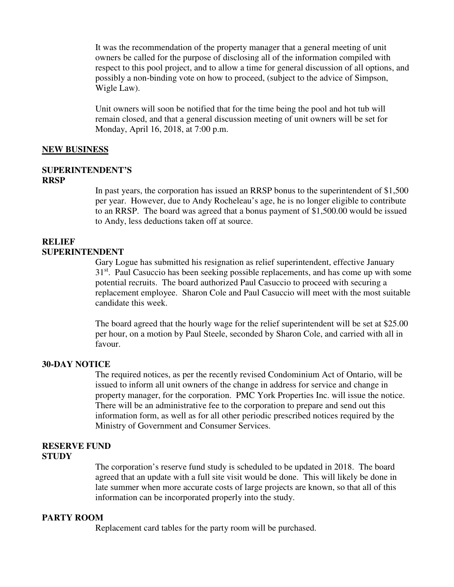It was the recommendation of the property manager that a general meeting of unit owners be called for the purpose of disclosing all of the information compiled with respect to this pool project, and to allow a time for general discussion of all options, and possibly a non-binding vote on how to proceed, (subject to the advice of Simpson, Wigle Law).

Unit owners will soon be notified that for the time being the pool and hot tub will remain closed, and that a general discussion meeting of unit owners will be set for Monday, April 16, 2018, at 7:00 p.m.

#### **NEW BUSINESS**

#### **SUPERINTENDENT'S**

#### **RRSP**

In past years, the corporation has issued an RRSP bonus to the superintendent of \$1,500 per year. However, due to Andy Rocheleau's age, he is no longer eligible to contribute to an RRSP. The board was agreed that a bonus payment of \$1,500.00 would be issued to Andy, less deductions taken off at source.

#### **RELIEF SUPERINTENDENT**

Gary Logue has submitted his resignation as relief superintendent, effective January 31<sup>st</sup>. Paul Casuccio has been seeking possible replacements, and has come up with some potential recruits. The board authorized Paul Casuccio to proceed with securing a replacement employee. Sharon Cole and Paul Casuccio will meet with the most suitable candidate this week.

The board agreed that the hourly wage for the relief superintendent will be set at \$25.00 per hour, on a motion by Paul Steele, seconded by Sharon Cole, and carried with all in favour.

#### **30-DAY NOTICE**

The required notices, as per the recently revised Condominium Act of Ontario, will be issued to inform all unit owners of the change in address for service and change in property manager, for the corporation. PMC York Properties Inc. will issue the notice. There will be an administrative fee to the corporation to prepare and send out this information form, as well as for all other periodic prescribed notices required by the Ministry of Government and Consumer Services.

#### **RESERVE FUND STUDY**

The corporation's reserve fund study is scheduled to be updated in 2018. The board agreed that an update with a full site visit would be done. This will likely be done in late summer when more accurate costs of large projects are known, so that all of this information can be incorporated properly into the study.

## **PARTY ROOM**

Replacement card tables for the party room will be purchased.